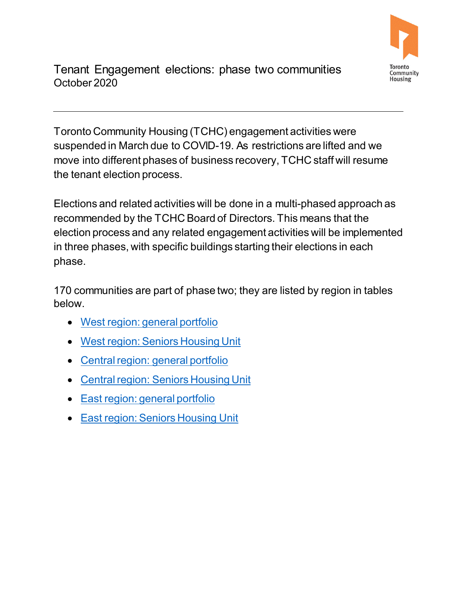

Tenant Engagement elections: phase two communities October 2020

 the tenant election process. Toronto Community Housing (TCHC) engagement activities were suspended in March due to COVID-19. As restrictions are lifted and we move into different phases of business recovery, TCHC staff will resume

 election process and any related engagement activities will be implemented in three phases, with specific buildings starting their elections in each Elections and related activities will be done in a multi-phased approach as recommended by the TCHC Board of Directors. This means that the phase.

 170 communities are part of phase two; they are listed by region in tables below.

- [West region: general portfolio](#page-1-0)
- [West region: Seniors Housing Unit](#page-4-0)
- [Central region: general portfolio](#page-5-0)
- [Central region: Seniors Housing Unit](#page-7-0)
- [East region: general portfolio](#page-7-1)
- [East region: Seniors Housing Unit](#page-8-0)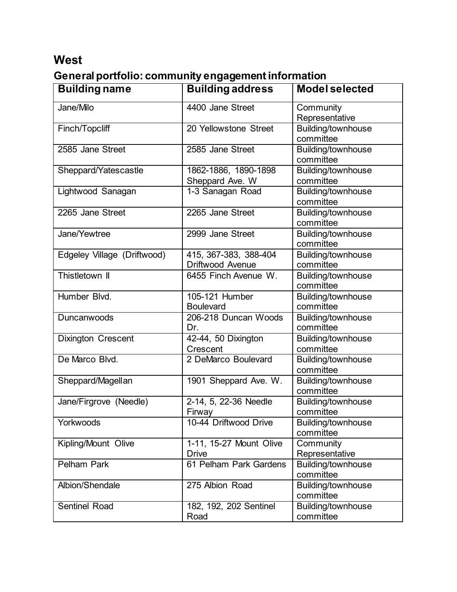#### **West**

### <span id="page-1-0"></span>**General portfolio: community engagement information**

| <b>Building name</b>        | <b>Building address</b>                   | <b>Model selected</b>           |
|-----------------------------|-------------------------------------------|---------------------------------|
| Jane/Milo                   | 4400 Jane Street                          | Community<br>Representative     |
| Finch/Topcliff              | 20 Yellowstone Street                     | Building/townhouse<br>committee |
| 2585 Jane Street            | 2585 Jane Street                          | Building/townhouse<br>committee |
| Sheppard/Yatescastle        | 1862-1886, 1890-1898<br>Sheppard Ave. W   | Building/townhouse<br>committee |
| Lightwood Sanagan           | 1-3 Sanagan Road                          | Building/townhouse<br>committee |
| 2265 Jane Street            | 2265 Jane Street                          | Building/townhouse<br>committee |
| Jane/Yewtree                | 2999 Jane Street                          | Building/townhouse<br>committee |
| Edgeley Village (Driftwood) | 415, 367-383, 388-404<br>Driftwood Avenue | Building/townhouse<br>committee |
| Thistletown II              | 6455 Finch Avenue W.                      | Building/townhouse<br>committee |
| Humber Blvd.                | 105-121 Humber<br><b>Boulevard</b>        | Building/townhouse<br>committee |
| Duncanwoods                 | 206-218 Duncan Woods<br>Dr.               | Building/townhouse<br>committee |
| <b>Dixington Crescent</b>   | 42-44, 50 Dixington<br>Crescent           | Building/townhouse<br>committee |
| De Marco Blvd.              | 2 DeMarco Boulevard                       | Building/townhouse<br>committee |
| Sheppard/Magellan           | 1901 Sheppard Ave. W.                     | Building/townhouse<br>committee |
| Jane/Firgrove (Needle)      | 2-14, 5, 22-36 Needle<br>Firway           | Building/townhouse<br>committee |
| Yorkwoods                   | 10-44 Driftwood Drive                     | Building/townhouse<br>committee |
| Kipling/Mount Olive         | 1-11, 15-27 Mount Olive<br><b>Drive</b>   | Community<br>Representative     |
| <b>Pelham Park</b>          | 61 Pelham Park Gardens                    | Building/townhouse<br>committee |
| Albion/Shendale             | 275 Albion Road                           | Building/townhouse<br>committee |
| <b>Sentinel Road</b>        | 182, 192, 202 Sentinel<br>Road            | Building/townhouse<br>committee |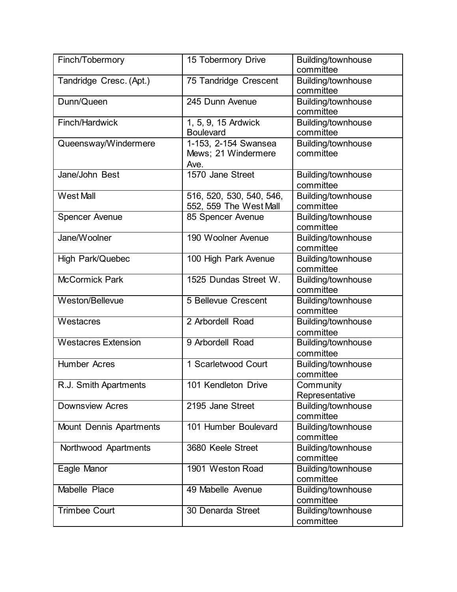| Finch/Tobermory                | 15 Tobermory Drive                                  | Building/townhouse<br>committee |
|--------------------------------|-----------------------------------------------------|---------------------------------|
| Tandridge Cresc. (Apt.)        | 75 Tandridge Crescent                               | Building/townhouse<br>committee |
| Dunn/Queen                     | 245 Dunn Avenue                                     | Building/townhouse<br>committee |
| Finch/Hardwick                 | 1, 5, 9, 15 Ardwick<br><b>Boulevard</b>             | Building/townhouse<br>committee |
| Queensway/Windermere           | 1-153, 2-154 Swansea<br>Mews; 21 Windermere<br>Ave. | Building/townhouse<br>committee |
| Jane/John Best                 | 1570 Jane Street                                    | Building/townhouse<br>committee |
| <b>West Mall</b>               | 516, 520, 530, 540, 546,<br>552, 559 The West Mall  | Building/townhouse<br>committee |
| <b>Spencer Avenue</b>          | 85 Spencer Avenue                                   | Building/townhouse<br>committee |
| Jane/Woolner                   | 190 Woolner Avenue                                  | Building/townhouse<br>committee |
| High Park/Quebec               | 100 High Park Avenue                                | Building/townhouse<br>committee |
| <b>McCormick Park</b>          | 1525 Dundas Street W.                               | Building/townhouse<br>committee |
| Weston/Bellevue                | 5 Bellevue Crescent                                 | Building/townhouse<br>committee |
| Westacres                      | 2 Arbordell Road                                    | Building/townhouse<br>committee |
| <b>Westacres Extension</b>     | 9 Arbordell Road                                    | Building/townhouse<br>committee |
| <b>Humber Acres</b>            | 1 Scarletwood Court                                 | Building/townhouse<br>committee |
| R.J. Smith Apartments          | 101 Kendleton Drive                                 | Community<br>Representative     |
| <b>Downsview Acres</b>         | 2195 Jane Street                                    | Building/townhouse<br>committee |
| <b>Mount Dennis Apartments</b> | 101 Humber Boulevard                                | Building/townhouse<br>committee |
| Northwood Apartments           | 3680 Keele Street                                   | Building/townhouse<br>committee |
| Eagle Manor                    | 1901 Weston Road                                    | Building/townhouse<br>committee |
| Mabelle Place                  | 49 Mabelle Avenue                                   | Building/townhouse<br>committee |
| <b>Trimbee Court</b>           | 30 Denarda Street                                   | Building/townhouse<br>committee |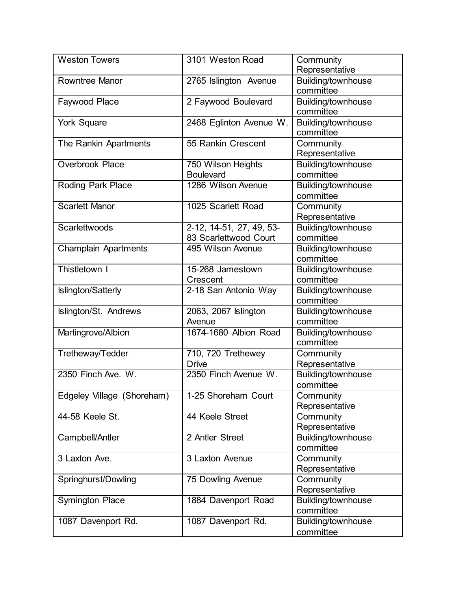| <b>Weston Towers</b>        | 3101 Weston Road                                  | Community<br>Representative     |
|-----------------------------|---------------------------------------------------|---------------------------------|
| <b>Rowntree Manor</b>       | 2765 Islington Avenue                             | Building/townhouse<br>committee |
| Faywood Place               | 2 Faywood Boulevard                               | Building/townhouse<br>committee |
| <b>York Square</b>          | 2468 Eglinton Avenue W.                           | Building/townhouse<br>committee |
| The Rankin Apartments       | 55 Rankin Crescent                                | Community<br>Representative     |
| <b>Overbrook Place</b>      | 750 Wilson Heights<br><b>Boulevard</b>            | Building/townhouse<br>committee |
| Roding Park Place           | 1286 Wilson Avenue                                | Building/townhouse<br>committee |
| <b>Scarlett Manor</b>       | 1025 Scarlett Road                                | Community<br>Representative     |
| Scarlettwoods               | 2-12, 14-51, 27, 49, 53-<br>83 Scarlettwood Court | Building/townhouse<br>committee |
| <b>Champlain Apartments</b> | 495 Wilson Avenue                                 | Building/townhouse<br>committee |
| Thistletown I               | 15-268 Jamestown<br>Crescent                      | Building/townhouse<br>committee |
| Islington/Satterly          | 2-18 San Antonio Way                              | Building/townhouse<br>committee |
| Islington/St. Andrews       | 2063, 2067 Islington<br>Avenue                    | Building/townhouse<br>committee |
| Martingrove/Albion          | 1674-1680 Albion Road                             | Building/townhouse<br>committee |
| Tretheway/Tedder            | 710, 720 Trethewey<br><b>Drive</b>                | Community<br>Representative     |
| 2350 Finch Ave. W.          | 2350 Finch Avenue W.                              | Building/townhouse<br>committee |
| Edgeley Village (Shoreham)  | 1-25 Shoreham Court                               | Community<br>Representative     |
| 44-58 Keele St.             | 44 Keele Street                                   | Community<br>Representative     |
| Campbell/Antler             | 2 Antler Street                                   | Building/townhouse<br>committee |
| 3 Laxton Ave.               | 3 Laxton Avenue                                   | Community<br>Representative     |
| Springhurst/Dowling         | 75 Dowling Avenue                                 | Community<br>Representative     |
| <b>Symington Place</b>      | 1884 Davenport Road                               | Building/townhouse<br>committee |
| 1087 Davenport Rd.          | 1087 Davenport Rd.                                | Building/townhouse<br>committee |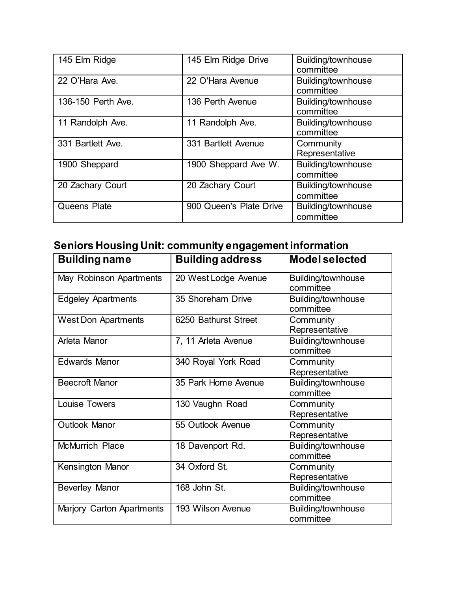| 145 Elm Ridge      | 145 Elm Ridge Drive     | Building/townhouse<br>committee |
|--------------------|-------------------------|---------------------------------|
| 22 O'Hara Ave.     | 22 O'Hara Avenue        | Building/townhouse<br>committee |
| 136-150 Perth Ave. | 136 Perth Avenue        | Building/townhouse<br>committee |
| 11 Randolph Ave.   | 11 Randolph Ave.        | Building/townhouse<br>committee |
| 331 Bartlett Ave.  | 331 Bartlett Avenue     | Community<br>Representative     |
| 1900 Sheppard      | 1900 Sheppard Ave W.    | Building/townhouse<br>committee |
| 20 Zachary Court   | 20 Zachary Court        | Building/townhouse<br>committee |
| Queens Plate       | 900 Queen's Plate Drive | Building/townhouse<br>committee |

# <span id="page-4-0"></span>**Seniors Housing Unit: community engagement information**

| <b>Building name</b>             | <b>Building address</b> | <b>Model selected</b>           |
|----------------------------------|-------------------------|---------------------------------|
| May Robinson Apartments          | 20 West Lodge Avenue    | Building/townhouse<br>committee |
| <b>Edgeley Apartments</b>        | 35 Shoreham Drive       | Building/townhouse<br>committee |
| <b>West Don Apartments</b>       | 6250 Bathurst Street    | Community<br>Representative     |
| Arleta Manor                     | 7, 11 Arleta Avenue     | Building/townhouse<br>committee |
| <b>Edwards Manor</b>             | 340 Royal York Road     | Community<br>Representative     |
| <b>Beecroft Manor</b>            | 35 Park Home Avenue     | Building/townhouse<br>committee |
| Louise Towers                    | 130 Vaughn Road         | Community<br>Representative     |
| Outlook Manor                    | 55 Outlook Avenue       | Community<br>Representative     |
| <b>McMurrich Place</b>           | 18 Davenport Rd.        | Building/townhouse<br>committee |
| Kensington Manor                 | 34 Oxford St.           | Community<br>Representative     |
| <b>Beverley Manor</b>            | 168 John St.            | Building/townhouse<br>committee |
| <b>Marjory Carton Apartments</b> | 193 Wilson Avenue       | Building/townhouse<br>committee |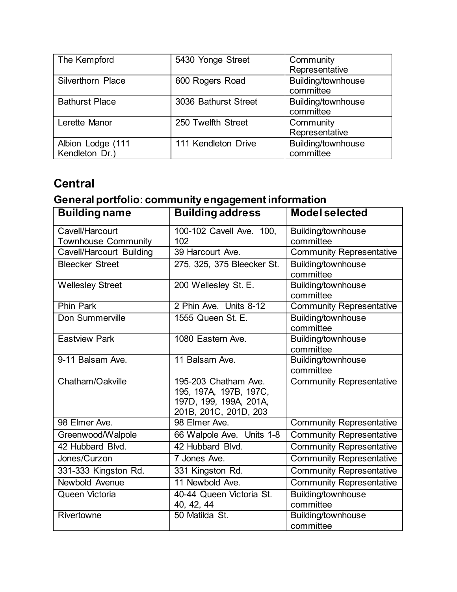| The Kempford                        | 5430 Yonge Street    | Community<br>Representative     |
|-------------------------------------|----------------------|---------------------------------|
| <b>Silverthorn Place</b>            | 600 Rogers Road      | Building/townhouse<br>committee |
| <b>Bathurst Place</b>               | 3036 Bathurst Street | Building/townhouse<br>committee |
| Lerette Manor                       | 250 Twelfth Street   | Community<br>Representative     |
| Albion Lodge (111<br>Kendleton Dr.) | 111 Kendleton Drive  | Building/townhouse<br>committee |

## **Central**

### <span id="page-5-0"></span>**General portfolio: community engagement information**

| <b>Building name</b>                          | <b>Building address</b>                                                                           | <b>Model selected</b>           |
|-----------------------------------------------|---------------------------------------------------------------------------------------------------|---------------------------------|
| Cavell/Harcourt<br><b>Townhouse Community</b> | 100-102 Cavell Ave. 100,<br>102                                                                   | Building/townhouse<br>committee |
| Cavell/Harcourt Building                      | 39 Harcourt Ave.                                                                                  | <b>Community Representative</b> |
| <b>Bleecker Street</b>                        | 275, 325, 375 Bleecker St.                                                                        | Building/townhouse<br>committee |
| <b>Wellesley Street</b>                       | 200 Wellesley St. E.                                                                              | Building/townhouse<br>committee |
| <b>Phin Park</b>                              | 2 Phin Ave. Units 8-12                                                                            | <b>Community Representative</b> |
| Don Summerville                               | 1555 Queen St. E.                                                                                 | Building/townhouse<br>committee |
| <b>Eastview Park</b>                          | 1080 Eastern Ave.                                                                                 | Building/townhouse<br>committee |
| 9-11 Balsam Ave.                              | 11 Balsam Ave.                                                                                    | Building/townhouse<br>committee |
| Chatham/Oakville                              | 195-203 Chatham Ave.<br>195, 197A, 197B, 197C,<br>197D, 199, 199A, 201A,<br>201B, 201C, 201D, 203 | <b>Community Representative</b> |
| 98 Elmer Ave.                                 | 98 Elmer Ave.                                                                                     | <b>Community Representative</b> |
| Greenwood/Walpole                             | 66 Walpole Ave. Units 1-8                                                                         | <b>Community Representative</b> |
| 42 Hubbard Blvd.                              | 42 Hubbard Blvd.                                                                                  | <b>Community Representative</b> |
| Jones/Curzon                                  | 7 Jones Ave.                                                                                      | <b>Community Representative</b> |
| 331-333 Kingston Rd.                          | 331 Kingston Rd.                                                                                  | <b>Community Representative</b> |
| Newbold Avenue                                | 11 Newbold Ave.                                                                                   | <b>Community Representative</b> |
| Queen Victoria                                | 40-44 Queen Victoria St.<br>40, 42, 44                                                            | Building/townhouse<br>committee |
| Rivertowne                                    | 50 Matilda St.                                                                                    | Building/townhouse<br>committee |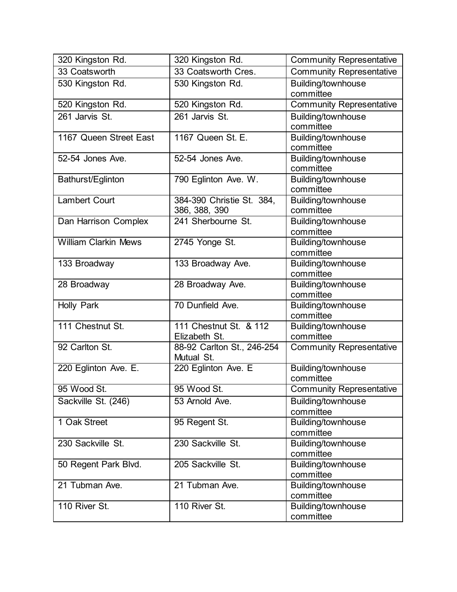| 320 Kingston Rd.            | 320 Kingston Rd.                           | <b>Community Representative</b> |
|-----------------------------|--------------------------------------------|---------------------------------|
| 33 Coatsworth               | 33 Coatsworth Cres.                        | <b>Community Representative</b> |
| 530 Kingston Rd.            | 530 Kingston Rd.                           | Building/townhouse<br>committee |
| 520 Kingston Rd.            | 520 Kingston Rd.                           | <b>Community Representative</b> |
| 261 Jarvis St.              | 261 Jarvis St.                             | Building/townhouse<br>committee |
| 1167 Queen Street East      | 1167 Queen St. E.                          | Building/townhouse<br>committee |
| 52-54 Jones Ave.            | 52-54 Jones Ave.                           | Building/townhouse<br>committee |
| Bathurst/Eglinton           | 790 Eglinton Ave. W.                       | Building/townhouse<br>committee |
| <b>Lambert Court</b>        | 384-390 Christie St. 384,<br>386, 388, 390 | Building/townhouse<br>committee |
| Dan Harrison Complex        | 241 Sherbourne St.                         | Building/townhouse<br>committee |
| <b>William Clarkin Mews</b> | 2745 Yonge St.                             | Building/townhouse<br>committee |
| 133 Broadway                | 133 Broadway Ave.                          | Building/townhouse<br>committee |
| 28 Broadway                 | 28 Broadway Ave.                           | Building/townhouse<br>committee |
| <b>Holly Park</b>           | 70 Dunfield Ave.                           | Building/townhouse<br>committee |
| 111 Chestnut St.            | 111 Chestnut St. & 112<br>Elizabeth St.    | Building/townhouse<br>committee |
| 92 Carlton St.              | 88-92 Carlton St., 246-254<br>Mutual St.   | <b>Community Representative</b> |
| 220 Eglinton Ave. E.        | 220 Eglinton Ave. E                        | Building/townhouse<br>committee |
| 95 Wood St.                 | 95 Wood St.                                | <b>Community Representative</b> |
| Sackville St. (246)         | 53 Arnold Ave.                             | Building/townhouse<br>committee |
| 1 Oak Street                | 95 Regent St.                              | Building/townhouse<br>committee |
| 230 Sackville St.           | 230 Sackville St.                          | Building/townhouse<br>committee |
| 50 Regent Park Blvd.        | 205 Sackville St.                          | Building/townhouse<br>committee |
| 21 Tubman Ave.              | 21 Tubman Ave.                             | Building/townhouse<br>committee |
| 110 River St.               | 110 River St.                              | Building/townhouse<br>committee |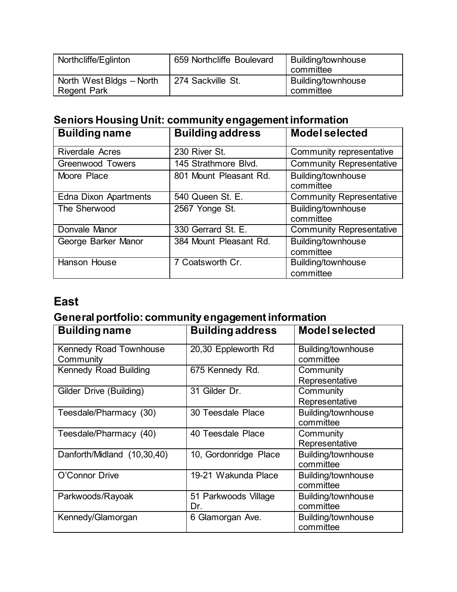| Northcliffe/Eglinton                           | 659 Northcliffe Boulevard | Building/townhouse<br>committee |
|------------------------------------------------|---------------------------|---------------------------------|
| North West Bldgs - North<br><b>Regent Park</b> | 274 Sackville St.         | Building/townhouse<br>committee |

### <span id="page-7-0"></span>**Seniors Housing Unit: community engagement information**

| <b>Building name</b>         | <b>Building address</b> | <b>Model selected</b>           |
|------------------------------|-------------------------|---------------------------------|
| <b>Riverdale Acres</b>       | 230 River St.           | Community representative        |
| <b>Greenwood Towers</b>      | 145 Strathmore Blvd.    | <b>Community Representative</b> |
| Moore Place                  | 801 Mount Pleasant Rd.  | Building/townhouse<br>committee |
| <b>Edna Dixon Apartments</b> | 540 Queen St. E.        | <b>Community Representative</b> |
| The Sherwood                 | 2567 Yonge St.          | Building/townhouse<br>committee |
| Donvale Manor                | 330 Gerrard St. E.      | <b>Community Representative</b> |
| George Barker Manor          | 384 Mount Pleasant Rd.  | Building/townhouse<br>committee |
| <b>Hanson House</b>          | 7 Coatsworth Cr.        | Building/townhouse<br>committee |

#### **East**

### <span id="page-7-1"></span>**General portfolio: community engagement information**

| <b>Building name</b>                | <b>Building address</b>     | <b>Model selected</b>           |
|-------------------------------------|-----------------------------|---------------------------------|
| Kennedy Road Townhouse<br>Community | 20,30 Eppleworth Rd         | Building/townhouse<br>committee |
| <b>Kennedy Road Building</b>        | 675 Kennedy Rd.             | Community<br>Representative     |
| Gilder Drive (Building)             | 31 Gilder Dr.               | Community<br>Representative     |
| Teesdale/Pharmacy (30)              | 30 Teesdale Place           | Building/townhouse<br>committee |
| Teesdale/Pharmacy (40)              | 40 Teesdale Place           | Community<br>Representative     |
| Danforth/Midland (10,30,40)         | 10, Gordonridge Place       | Building/townhouse<br>committee |
| O'Connor Drive                      | 19-21 Wakunda Place         | Building/townhouse<br>committee |
| Parkwoods/Rayoak                    | 51 Parkwoods Village<br>Dr. | Building/townhouse<br>committee |
| Kennedy/Glamorgan                   | 6 Glamorgan Ave.            | Building/townhouse<br>committee |